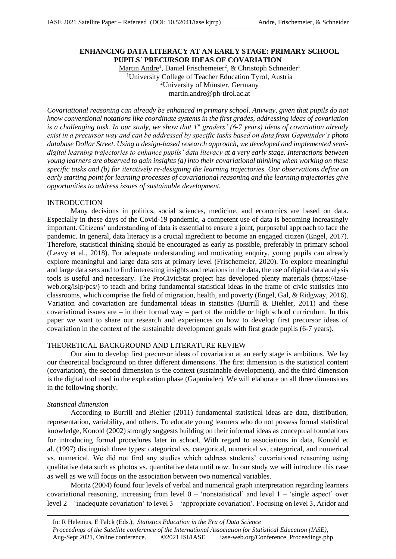# **ENHANCING DATA LITERACY AT AN EARLY STAGE: PRIMARY SCHOOL PUPILS´ PRECURSOR IDEAS OF COVARIATION**

Martin Andre<sup>1</sup>, Daniel Frischemeier<sup>2</sup>, & Christoph Schneider<sup>1</sup> <sup>1</sup>University College of Teacher Education Tyrol, Austria <sup>2</sup>University of Münster, Germany martin.andre@ph-tirol.ac.at

*Covariational reasoning can already be enhanced in primary school. Anyway, given that pupils do not know conventional notations like coordinate systems in the first grades, addressing ideas of covariation is a challenging task. In our study, we show that 1st graders' (6-7 years) ideas of covariation already exist in a precursor way and can be addressed by specific tasks based on data from Gapminder's photo database Dollar Street. Using a design-based research approach, we developed and implemented semidigital learning trajectories to enhance pupils' data literacy at a very early stage. Interactions between young learners are observed to gain insights (a) into their covariational thinking when working on these specific tasks and (b) for iteratively re-designing the learning trajectories. Our observations define an early starting point for learning processes of covariational reasoning and the learning trajectories give opportunities to address issues of sustainable development.*

# INTRODUCTION

Many decisions in politics, social sciences, medicine, and economics are based on data. Especially in these days of the Covid-19 pandemic, a competent use of data is becoming increasingly important. Citizens' understanding of data is essential to ensure a joint, purposeful approach to face the pandemic. In general, data literacy is a crucial ingredient to become an engaged citizen (Engel, 2017). Therefore, statistical thinking should be encouraged as early as possible, preferably in primary school (Leavy et al., 2018). For adequate understanding and motivating enquiry, young pupils can already explore meaningful and large data sets at primary level (Frischemeier, 2020). To explore meaningful and large data sets and to find interesting insights and relations in the data, the use of digital data analysis tools is useful and necessary. The ProCivicStat project has developed plenty materials (https://iaseweb.org/islp/pcs/) to teach and bring fundamental statistical ideas in the frame of civic statistics into classrooms, which comprise the field of migration, health, and poverty (Engel, Gal, & Ridgway, 2016). Variation and covariation are fundamental ideas in statistics (Burrill & Biehler, 2011) and these covariational issues are  $-$  in their formal way  $-$  part of the middle or high school curriculum. In this paper we want to share our research and experiences on how to develop first precursor ideas of covariation in the context of the sustainable development goals with first grade pupils (6-7 years).

# THEORETICAL BACKGROUND AND LITERATURE REVIEW

Our aim to develop first precursor ideas of covariation at an early stage is ambitious. We lay our theoretical background on three different dimensions. The first dimension is the statistical content (covariation), the second dimension is the context (sustainable development), and the third dimension is the digital tool used in the exploration phase (Gapminder). We will elaborate on all three dimensions in the following shortly.

#### *Statistical dimension*

According to Burrill and Biehler (2011) fundamental statistical ideas are data, distribution, representation, variability, and others. To educate young learners who do not possess formal statistical knowledge, Konold (2002) strongly suggests building on their informal ideas as conceptual foundations for introducing formal procedures later in school. With regard to associations in data, Konold et al. (1997) distinguish three types: categorical vs. categorical, numerical vs. categorical, and numerical vs. numerical. We did not find any studies which address students' covariational reasoning using qualitative data such as photos vs. quantitative data until now. In our study we will introduce this case as well as we will focus on the association between two numerical variables.

Moritz (2004) found four levels of verbal and numerical graph interpretation regarding learners covariational reasoning, increasing from level  $0$  – 'nonstatistical' and level  $1$  – 'single aspect' over level 2 – 'inadequate covariation' to level 3 – 'appropriate covariation'. Focusing on level 3, Aridor and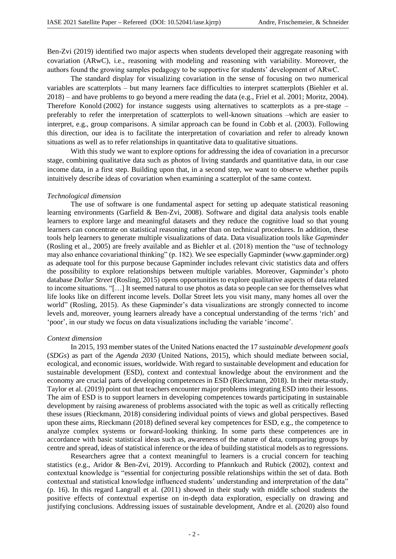Ben-Zvi (2019) identified two major aspects when students developed their aggregate reasoning with covariation (ARwC), i.e., reasoning with modeling and reasoning with variability. Moreover, the authors found the growing samples pedagogy to be supportive for students' development of ARwC.

The standard display for visualizing covariation in the sense of focusing on two numerical variables are scatterplots – but many learners face difficulties to interpret scatterplots (Biehler et al. 2018) – and have problems to go beyond a mere reading the data (e.g., Friel et al. 2001; Moritz, 2004). Therefore Konold (2002) for instance suggests using alternatives to scatterplots as a pre-stage – preferably to refer the interpretation of scatterplots to well-known situations –which are easier to interpret, e.g., group comparisons. A similar approach can be found in Cobb et al. (2003). Following this direction, our idea is to facilitate the interpretation of covariation and refer to already known situations as well as to refer relationships in quantitative data to qualitative situations.

With this study we want to explore options for addressing the idea of covariation in a precursor stage, combining qualitative data such as photos of living standards and quantitative data, in our case income data, in a first step. Building upon that, in a second step, we want to observe whether pupils intuitively describe ideas of covariation when examining a scatterplot of the same context.

#### *Technological dimension*

The use of software is one fundamental aspect for setting up adequate statistical reasoning learning environments (Garfield & Ben-Zvi, 2008). Software and digital data analysis tools enable learners to explore large and meaningful datasets and they reduce the cognitive load so that young learners can concentrate on statistical reasoning rather than on technical procedures. In addition, these tools help learners to generate multiple visualizations of data. Data visualization tools like *Gapminder* (Rosling et al., 2005) are freely available and as Biehler et al. (2018) mention the "use of technology may also enhance covariational thinking" (p. 182). We see especially Gapminder (www.gapminder.org) as adequate tool for this purpose because Gapminder includes relevant civic statistics data and offers the possibility to explore relationships between multiple variables. Moreover, Gapminder's photo database *Dollar Street* (Rosling, 2015) opens opportunities to explore qualitative aspects of data related to income situations. "[…] It seemed natural to use photos as data so people can see for themselves what life looks like on different income levels. Dollar Street lets you visit many, many homes all over the world" (Rosling, 2015). As these Gapminder's data visualizations are strongly connected to income levels and, moreover, young learners already have a conceptual understanding of the terms 'rich' and 'poor', in our study we focus on data visualizations including the variable 'income'.

#### *Context dimension*

In 2015, 193 member states of the United Nations enacted the 17 *sustainable development goals* (*SDGs*) as part of the *Agenda 2030* (United Nations, 2015), which should mediate between social, ecological, and economic issues, worldwide. With regard to sustainable development and education for sustainable development (ESD), context and contextual knowledge about the environment and the economy are crucial parts of developing competences in ESD (Rieckmann, 2018). In their meta-study, Taylor et al. (2019) point out that teachers encounter major problems integrating ESD into their lessons. The aim of ESD is to support learners in developing competences towards participating in sustainable development by raising awareness of problems associated with the topic as well as critically reflecting these issues (Rieckmann, 2018) considering individual points of views and global perspectives. Based upon these aims, Rieckmann (2018) defined several key competences for ESD, e.g., the competence to analyze complex systems or forward-looking thinking. In some parts these competences are in accordance with basic statistical ideas such as, awareness of the nature of data, comparing groups by centre and spread, ideas of statistical inference or the idea of building statistical models as to regressions.

Researchers agree that a context meaningful to learners is a crucial concern for teaching statistics (e.g., Aridor & Ben-Zvi, 2019). According to Pfannkuch and Rubick (2002), context and contextual knowledge is "essential for conjecturing possible relationships within the set of data. Both contextual and statistical knowledge influenced students' understanding and interpretation of the data" (p. 16). In this regard Langrall et al. (2011) showed in their study with middle school students the positive effects of contextual expertise on in-depth data exploration, especially on drawing and justifying conclusions. Addressing issues of sustainable development, Andre et al. (2020) also found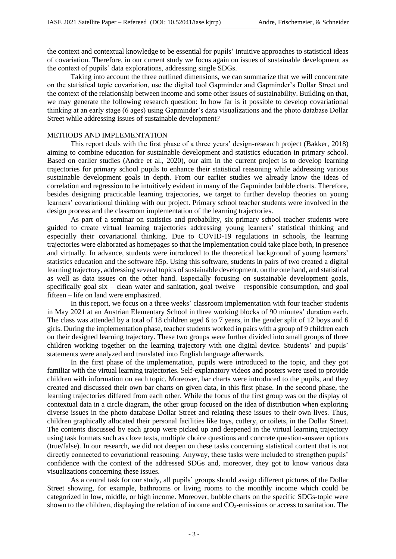the context and contextual knowledge to be essential for pupils' intuitive approaches to statistical ideas of covariation. Therefore, in our current study we focus again on issues of sustainable development as the context of pupils' data explorations, addressing single SDGs.

Taking into account the three outlined dimensions, we can summarize that we will concentrate on the statistical topic covariation, use the digital tool Gapminder and Gapminder's Dollar Street and the context of the relationship between income and some other issues of sustainability. Building on that, we may generate the following research question: In how far is it possible to develop covariational thinking at an early stage (6 ages) using Gapminder's data visualizations and the photo database Dollar Street while addressing issues of sustainable development?

### METHODS AND IMPLEMENTATION

This report deals with the first phase of a three years' design-research project (Bakker, 2018) aiming to combine education for sustainable development and statistics education in primary school. Based on earlier studies (Andre et al., 2020), our aim in the current project is to develop learning trajectories for primary school pupils to enhance their statistical reasoning while addressing various sustainable development goals in depth. From our earlier studies we already know the ideas of correlation and regression to be intuitively evident in many of the Gapminder bubble charts. Therefore, besides designing practicable learning trajectories, we target to further develop theories on young learners' covariational thinking with our project. Primary school teacher students were involved in the design process and the classroom implementation of the learning trajectories.

As part of a seminar on statistics and probability, six primary school teacher students were guided to create virtual learning trajectories addressing young learners' statistical thinking and especially their covariational thinking. Due to COVID-19 regulations in schools, the learning trajectories were elaborated as homepages so that the implementation could take place both, in presence and virtually. In advance, students were introduced to the theoretical background of young learners' statistics education and the software h5p. Using this software, students in pairs of two created a digital learning trajectory, addressing several topics of sustainable development, on the one hand, and statistical as well as data issues on the other hand. Especially focusing on sustainable development goals, specifically goal six – clean water and sanitation, goal twelve – responsible consumption, and goal fifteen – life on land were emphasized.

In this report, we focus on a three weeks' classroom implementation with four teacher students in May 2021 at an Austrian Elementary School in three working blocks of 90 minutes' duration each. The class was attended by a total of 18 children aged 6 to 7 years, in the gender split of 12 boys and 6 girls. During the implementation phase, teacher students worked in pairs with a group of 9 children each on their designed learning trajectory. These two groups were further divided into small groups of three children working together on the learning trajectory with one digital device. Students' and pupils' statements were analyzed and translated into English language afterwards.

In the first phase of the implementation, pupils were introduced to the topic, and they got familiar with the virtual learning trajectories. Self-explanatory videos and posters were used to provide children with information on each topic. Moreover, bar charts were introduced to the pupils, and they created and discussed their own bar charts on given data, in this first phase. In the second phase, the learning trajectories differed from each other. While the focus of the first group was on the display of contextual data in a circle diagram, the other group focused on the idea of distribution when exploring diverse issues in the photo database Dollar Street and relating these issues to their own lives. Thus, children graphically allocated their personal facilities like toys, cutlery, or toilets, in the Dollar Street. The contents discussed by each group were picked up and deepened in the virtual learning trajectory using task formats such as cloze texts, multiple choice questions and concrete question-answer options (true/false). In our research, we did not deepen on these tasks concerning statistical content that is not directly connected to covariational reasoning. Anyway, these tasks were included to strengthen pupils' confidence with the context of the addressed SDGs and, moreover, they got to know various data visualizations concerning these issues.

As a central task for our study, all pupils' groups should assign different pictures of the Dollar Street showing, for example, bathrooms or living rooms to the monthly income which could be categorized in low, middle, or high income. Moreover, bubble charts on the specific SDGs-topic were shown to the children, displaying the relation of income and CO<sub>2</sub>-emissions or access to sanitation. The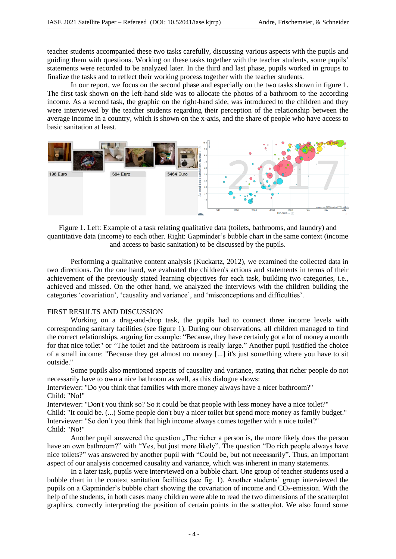teacher students accompanied these two tasks carefully, discussing various aspects with the pupils and guiding them with questions. Working on these tasks together with the teacher students, some pupils' statements were recorded to be analyzed later. In the third and last phase, pupils worked in groups to finalize the tasks and to reflect their working process together with the teacher students.

In our report, we focus on the second phase and especially on the two tasks shown in figure 1. The first task shown on the left-hand side was to allocate the photos of a bathroom to the according income. As a second task, the graphic on the right-hand side, was introduced to the children and they were interviewed by the teacher students regarding their perception of the relationship between the average income in a country, which is shown on the x-axis, and the share of people who have access to basic sanitation at least.



Figure 1. Left: Example of a task relating qualitative data (toilets, bathrooms, and laundry) and quantitative data (income) to each other. Right: Gapminder's bubble chart in the same context (income and access to basic sanitation) to be discussed by the pupils.

Performing a qualitative content analysis (Kuckartz, 2012), we examined the collected data in two directions. On the one hand, we evaluated the children's actions and statements in terms of their achievement of the previously stated learning objectives for each task, building two categories, i.e., achieved and missed. On the other hand, we analyzed the interviews with the children building the categories 'covariation', 'causality and variance', and 'misconceptions and difficulties'.

# FIRST RESULTS AND DISCUSSION

Working on a drag-and-drop task, the pupils had to connect three income levels with corresponding sanitary facilities (see figure 1). During our observations, all children managed to find the correct relationships, arguing for example: "Because, they have certainly got a lot of money a month for that nice toilet" or "The toilet and the bathroom is really large." Another pupil justified the choice of a small income: "Because they get almost no money [...] it's just something where you have to sit outside."

Some pupils also mentioned aspects of causality and variance, stating that richer people do not necessarily have to own a nice bathroom as well, as this dialogue shows:

Interviewer: "Do you think that families with more money always have a nicer bathroom?" Child: "No!"

Interviewer: "Don't you think so? So it could be that people with less money have a nice toilet?" Child: "It could be. (...) Some people don't buy a nicer toilet but spend more money as family budget." Interviewer: "So don't you think that high income always comes together with a nice toilet?" Child: "No!"

Another pupil answered the question "The richer a person is, the more likely does the person have an own bathroom?" with "Yes, but just more likely". The question "Do rich people always have nice toilets?" was answered by another pupil with "Could be, but not necessarily". Thus, an important aspect of our analysis concerned causality and variance, which was inherent in many statements.

In a later task, pupils were interviewed on a bubble chart. One group of teacher students used a bubble chart in the context sanitation facilities (see fig. 1). Another students' group interviewed the pupils on a Gapminder's bubble chart showing the covariation of income and  $CO_2$ -emission. With the help of the students, in both cases many children were able to read the two dimensions of the scatterplot graphics, correctly interpreting the position of certain points in the scatterplot. We also found some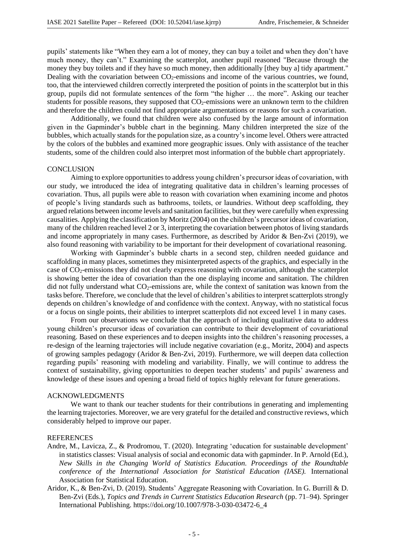pupils' statements like "When they earn a lot of money, they can buy a toilet and when they don't have much money, they can't." Examining the scatterplot, another pupil reasoned "Because through the money they buy toilets and if they have so much money, then additionally [they buy a] tidy apartment." Dealing with the covariation between  $CO<sub>2</sub>$ -emissions and income of the various countries, we found, too, that the interviewed children correctly interpreted the position of points in the scatterplot but in this group, pupils did not formulate sentences of the form "the higher … the more". Asking our teacher students for possible reasons, they supposed that  $CO<sub>2</sub>$ -emissions were an unknown term to the children and therefore the children could not find appropriate argumentations or reasons for such a covariation.

Additionally, we found that children were also confused by the large amount of information given in the Gapminder's bubble chart in the beginning. Many children interpreted the size of the bubbles, which actually stands for the population size, as a country's income level. Others were attracted by the colors of the bubbles and examined more geographic issues. Only with assistance of the teacher students, some of the children could also interpret most information of the bubble chart appropriately.

#### CONCLUSION

Aiming to explore opportunities to address young children's precursor ideas of covariation, with our study, we introduced the idea of integrating qualitative data in children's learning processes of covariation. Thus, all pupils were able to reason with covariation when examining income and photos of people's living standards such as bathrooms, toilets, or laundries. Without deep scaffolding, they argued relations between income levels and sanitation facilities, but they were carefully when expressing causalities. Applying the classification by Moritz (2004) on the children's precursor ideas of covariation, many of the children reached level 2 or 3, interpreting the covariation between photos of living standards and income appropriately in many cases. Furthermore, as described by Aridor & Ben-Zvi (2019), we also found reasoning with variability to be important for their development of covariational reasoning.

Working with Gapminder's bubble charts in a second step, children needed guidance and scaffolding in many places, sometimes they misinterpreted aspects of the graphics, and especially in the case of CO2-emissions they did not clearly express reasoning with covariation, although the scatterplot is showing better the idea of covariation than the one displaying income and sanitation. The children did not fully understand what  $CO<sub>2</sub>$ -emissions are, while the context of sanitation was known from the tasks before. Therefore, we conclude that the level of children's abilities to interpret scatterplots strongly depends on children's knowledge of and confidence with the context. Anyway, with no statistical focus or a focus on single points, their abilities to interpret scatterplots did not exceed level 1 in many cases.

From our observations we conclude that the approach of including qualitative data to address young children's precursor ideas of covariation can contribute to their development of covariational reasoning. Based on these experiences and to deepen insights into the children's reasoning processes, a re-design of the learning trajectories will include negative covariation (e.g., Moritz, 2004) and aspects of growing samples pedagogy (Aridor & Ben-Zvi, 2019). Furthermore, we will deepen data collection regarding pupils' reasoning with modeling and variability. Finally, we will continue to address the context of sustainability, giving opportunities to deepen teacher students' and pupils' awareness and knowledge of these issues and opening a broad field of topics highly relevant for future generations.

# ACKNOWLEDGMENTS

We want to thank our teacher students for their contributions in generating and implementing the learning trajectories. Moreover, we are very grateful for the detailed and constructive reviews, which considerably helped to improve our paper.

#### REFERENCES

- Andre, M., Lavicza, Z., & Prodromou, T. (2020). Integrating 'education for sustainable development' in statistics classes: Visual analysis of social and economic data with gapminder. In P. Arnold (Ed.), *New Skills in the Changing World of Statistics Education. Proceedings of the Roundtable conference of the International Association for Statistical Education (IASE).* International Association for Statistical Education.
- Aridor, K., & Ben-Zvi, D. (2019). Students' Aggregate Reasoning with Covariation. In G. Burrill & D. Ben-Zvi (Eds.), *Topics and Trends in Current Statistics Education Research* (pp. 71–94). Springer International Publishing. https://doi.org/10.1007/978-3-030-03472-6\_4